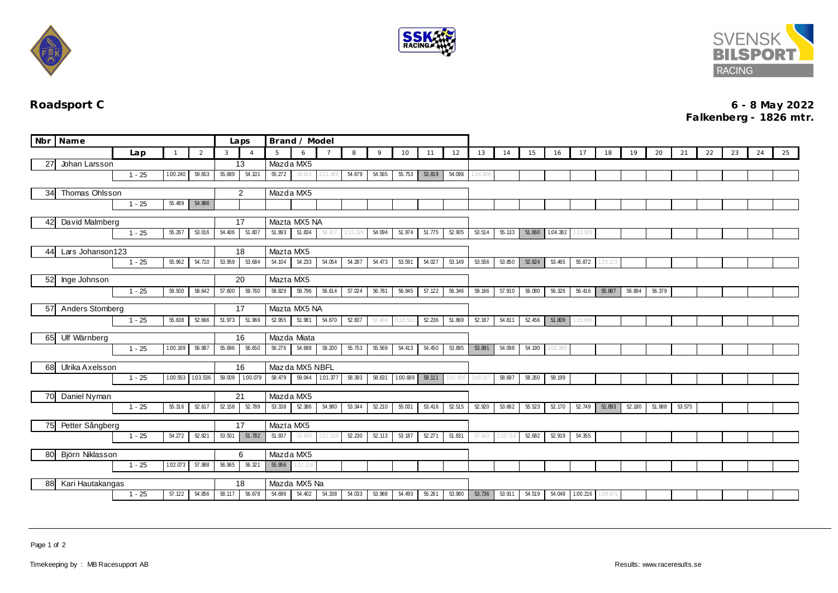





## **Roadsport C 6 - 8 May 2022 Falkenberg - 1826 mtr.**

|                                                      | Nbr Name                     |                              |                   |           | Laps   | Brand / Model  |                 |              |          |          |        |          |        |          |          |          |        |                 |          |         |        |        |        |    |    |  |  |
|------------------------------------------------------|------------------------------|------------------------------|-------------------|-----------|--------|----------------|-----------------|--------------|----------|----------|--------|----------|--------|----------|----------|----------|--------|-----------------|----------|---------|--------|--------|--------|----|----|--|--|
|                                                      |                              | Lap                          | 3                 |           | -5     | 6              |                 | 8            | 9        | 10       | 11     | 12       | 13     | 14       | 15       | 16       | 17     | 18              | 19       | 20      | 21     | 22     | 23     | 24 | 25 |  |  |
| 27                                                   | Johan Larsson                |                              | 13                |           |        | Mazda MX5      |                 |              |          |          |        |          |        |          |          |          |        |                 |          |         |        |        |        |    |    |  |  |
|                                                      |                              | $1 - 25$                     | 1:00.240          | 59.653    | 55.689 | 54.101         | 55.272          | 59.814       | 221.409  | 54.679   | 54.565 | 55.753   | 53.819 | 54.098   | 1:24.996 |          |        |                 |          |         |        |        |        |    |    |  |  |
|                                                      | Thomas Ohlsson<br>34         |                              |                   |           |        | $\overline{2}$ | Mazda MX5       |              |          |          |        |          |        |          |          |          |        |                 |          |         |        |        |        |    |    |  |  |
|                                                      | 54.986<br>$1 - 25$<br>55.489 |                              |                   |           |        |                |                 |              |          |          |        |          |        |          |          |          |        |                 |          |         |        |        |        |    |    |  |  |
|                                                      |                              |                              |                   |           |        |                |                 |              |          |          |        |          |        |          |          |          |        |                 |          |         |        |        |        |    |    |  |  |
|                                                      | David Malmberg<br>42         |                              |                   |           |        | 17             |                 | Mazta MX5 NA |          |          |        |          |        |          |          |          |        |                 |          |         |        |        |        |    |    |  |  |
|                                                      |                              | $1 - 25$<br>55.267<br>53.016 |                   |           |        | 51.807         | 51.893          | 51.834       | 58.427   | 2:10.326 | 54.094 | 51.974   | 51.775 | 52.905   | 53.514   | 55.133   |        | 51.660 1.04.382 | 1:13.926 |         |        |        |        |    |    |  |  |
| 44                                                   | Lars Johanson123             |                              |                   |           |        | 18             |                 | Mazta MX5    |          |          |        |          |        |          |          |          |        |                 |          |         |        |        |        |    |    |  |  |
|                                                      |                              | 54.710<br>$1 - 25$<br>55.962 |                   |           |        | 53.684         | 54.104          | 54.233       | 54.054   | 54.287   | 54.473 | 53.591   | 54.027 | 53.149   | 53.556   | 53.850   | 52.624 | 53.465          | 55.872   | 125.172 |        |        |        |    |    |  |  |
|                                                      |                              |                              |                   |           |        |                |                 |              |          |          |        |          |        |          |          |          |        |                 |          |         |        |        |        |    |    |  |  |
| 52                                                   | Inge Johnson                 |                              |                   |           |        | 20             | Mazta MX5       |              |          |          |        |          |        |          |          |          |        |                 |          |         |        |        |        |    |    |  |  |
|                                                      |                              | $1 - 25$                     | 59.500            | 58.642    | 57.600 | 59.760         | 58.829          | 59.796       | 56.614   | 57.024   | 56.781 | 56.945   | 57.122 | 56.346   | 59.166   | 57.910   | 56.080 | 56.326          | 56.416   | 55.887  | 56.884 | 56.379 |        |    |    |  |  |
| 57                                                   | Anders Stomberg              |                              |                   |           |        | 17             | Mazta MX5 NA    |              |          |          |        |          |        |          |          |          |        |                 |          |         |        |        |        |    |    |  |  |
|                                                      |                              | $1 - 25$                     | 55.638            | 52.666    | 51.973 | 51.969         | 52.955          | 51.981       | 54.670   | 52.837   | 57.404 |          | 52.236 | 51.869   | 52.167   | 54.811   | 52.456 | 51.809          | :19.666  |         |        |        |        |    |    |  |  |
|                                                      |                              |                              |                   |           |        |                |                 |              |          |          |        |          |        |          |          |          |        |                 |          |         |        |        |        |    |    |  |  |
|                                                      | 65 Ulf Wärnberg              |                              |                   |           |        | 16             | Mazda Miata     |              |          |          |        |          |        |          |          |          |        |                 |          |         |        |        |        |    |    |  |  |
|                                                      |                              | $1 - 25$                     | 1:00.169          | 56.887    | 55.696 | 56.650         | 56.276          | 54.688       | 58.200   | 55.753   | 55.569 | 54.413   | 54.450 | 53.895   | 53.891   | 54.098   | 54.190 | 02.980          |          |         |        |        |        |    |    |  |  |
|                                                      | 68 Ulrika Axelsson           |                              |                   |           |        | 16             | Maz da MX5 NBFL |              |          |          |        |          |        |          |          |          |        |                 |          |         |        |        |        |    |    |  |  |
|                                                      |                              | $1 - 25$                     | 1.00.553 1.03.536 |           | 59.009 | 1:00.079       | 58.479          | 59.044       | 1.01.377 | 58.393   | 58.631 | 1:00.689 | 58.111 | 1:02.686 | 3:49.027 | 58.697   | 58.260 | 59.199          |          |         |        |        |        |    |    |  |  |
|                                                      |                              |                              |                   |           |        | Mazda MX5      |                 |              |          |          |        |          |        |          |          |          |        |                 |          |         |        |        |        |    |    |  |  |
|                                                      | Daniel Nyman<br>70           |                              |                   |           |        | 21<br>52.789   | 53.338          | 52.386       | 54.980   | 53.344   | 52.210 | 55.031   | 53.416 | 52.515   | 52.920   | 53.662   | 55.523 | 52.170          | 52.749   | 51.893  | 52.180 | 51.988 | 53.575 |    |    |  |  |
|                                                      | $1 - 25$<br>55.316<br>52.617 |                              |                   |           |        |                |                 |              |          |          |        |          |        |          |          |          |        |                 |          |         |        |        |        |    |    |  |  |
| 75                                                   | Petter Sångberg              |                              | 17                | Mazta MX5 |        |                |                 |              |          |          |        |          |        |          |          |          |        |                 |          |         |        |        |        |    |    |  |  |
|                                                      | $1 - 25$<br>54.272<br>52.821 |                              |                   |           |        | 51.782         | 51.937          | 53.935       | 3:27.230 | 52.230   | 52.113 | 53.187   | 52.271 | 51.831   | 57.043   | 2:39.714 | 52.682 | 52.919          | 54.355   |         |        |        |        |    |    |  |  |
|                                                      |                              |                              |                   |           |        |                | Mazda MX5       |              |          |          |        |          |        |          |          |          |        |                 |          |         |        |        |        |    |    |  |  |
| 80 Björn Niklasson<br>$1 - 25$<br>1:02.073<br>57.988 |                              |                              |                   |           | 56.965 | 6<br>56.321    | 55.956          | 1:12.116     |          |          |        |          |        |          |          |          |        |                 |          |         |        |        |        |    |    |  |  |
|                                                      |                              |                              |                   |           |        |                |                 |              |          |          |        |          |        |          |          |          |        |                 |          |         |        |        |        |    |    |  |  |
| Kari Hautakangas<br>88                               |                              |                              |                   |           |        | 18             | Mazda MX5 Na    |              |          |          |        |          |        |          |          |          |        |                 |          |         |        |        |        |    |    |  |  |
|                                                      |                              | $1 - 25$                     | 57.122            | 54.856    | 58.117 | 56.678         | 54.696          | 54.402       | 54.338   | 54.033   | 53.988 | 54.493   | 55.261 | 53.980   | 53.736   | 53.911   | 54.519 | 54.048          | 1.00.216 | 1:08.67 |        |        |        |    |    |  |  |